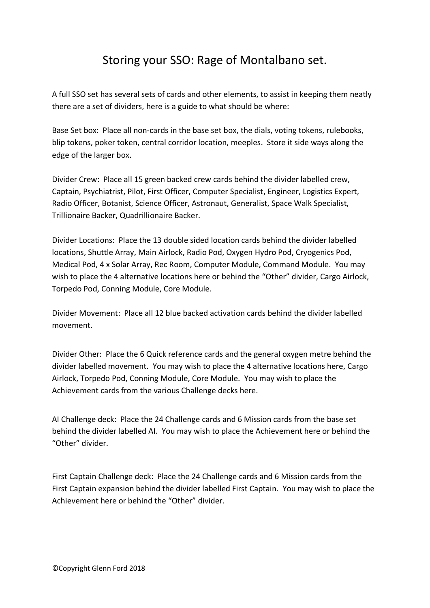## Storing your SSO: Rage of Montalbano set.

A full SSO set has several sets of cards and other elements, to assist in keeping them neatly there are a set of dividers, here is a guide to what should be where:

Base Set box: Place all non-cards in the base set box, the dials, voting tokens, rulebooks, blip tokens, poker token, central corridor location, meeples. Store it side ways along the edge of the larger box.

Divider Crew: Place all 15 green backed crew cards behind the divider labelled crew, Captain, Psychiatrist, Pilot, First Officer, Computer Specialist, Engineer, Logistics Expert, Radio Officer, Botanist, Science Officer, Astronaut, Generalist, Space Walk Specialist, Trillionaire Backer, Quadrillionaire Backer.

Divider Locations: Place the 13 double sided location cards behind the divider labelled locations, Shuttle Array, Main Airlock, Radio Pod, Oxygen Hydro Pod, Cryogenics Pod, Medical Pod, 4 x Solar Array, Rec Room, Computer Module, Command Module. You may wish to place the 4 alternative locations here or behind the "Other" divider, Cargo Airlock, Torpedo Pod, Conning Module, Core Module.

Divider Movement: Place all 12 blue backed activation cards behind the divider labelled movement.

Divider Other: Place the 6 Quick reference cards and the general oxygen metre behind the divider labelled movement. You may wish to place the 4 alternative locations here, Cargo Airlock, Torpedo Pod, Conning Module, Core Module. You may wish to place the Achievement cards from the various Challenge decks here.

AI Challenge deck: Place the 24 Challenge cards and 6 Mission cards from the base set behind the divider labelled AI. You may wish to place the Achievement here or behind the "Other" divider.

First Captain Challenge deck: Place the 24 Challenge cards and 6 Mission cards from the First Captain expansion behind the divider labelled First Captain. You may wish to place the Achievement here or behind the "Other" divider.